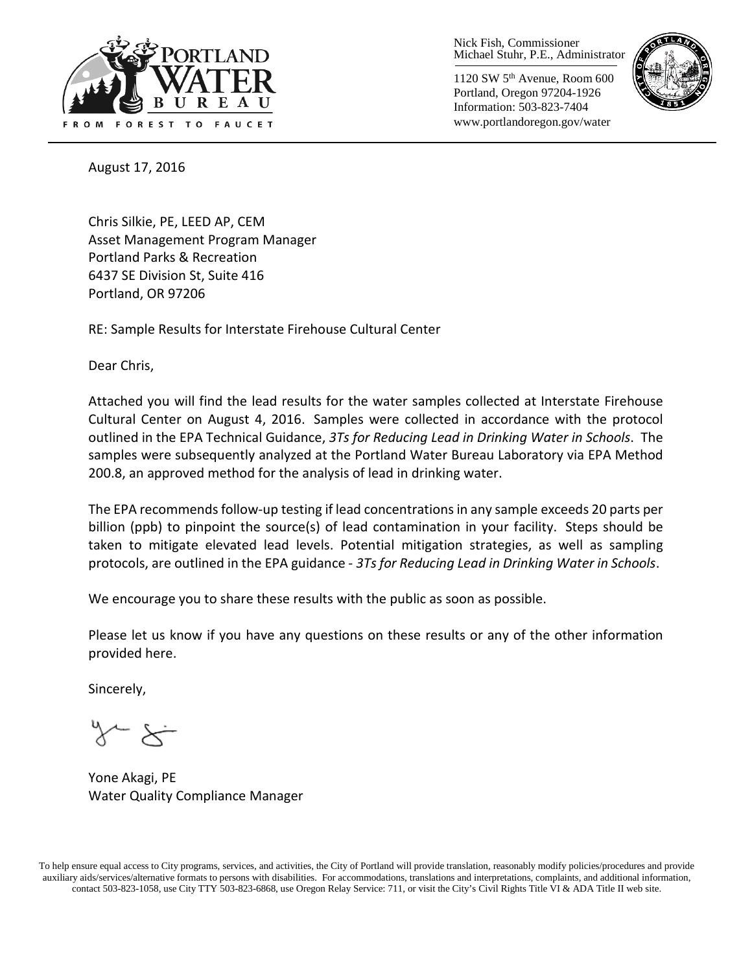

Nick Fish, Commissioner Michael Stuhr, P.E., Administrator

1120 SW 5th Avenue, Room 600 Portland, Oregon 97204-1926 Information: 503-823-7404 www.portlandoregon.gov/water



August 17, 2016

Chris Silkie, PE, LEED AP, CEM Asset Management Program Manager Portland Parks & Recreation 6437 SE Division St, Suite 416 Portland, OR 97206

RE: Sample Results for Interstate Firehouse Cultural Center

Dear Chris,

Attached you will find the lead results for the water samples collected at Interstate Firehouse Cultural Center on August 4, 2016. Samples were collected in accordance with the protocol outlined in the EPA Technical Guidance, *3Ts for Reducing Lead in Drinking Water in Schools*. The samples were subsequently analyzed at the Portland Water Bureau Laboratory via EPA Method 200.8, an approved method for the analysis of lead in drinking water.

The EPA recommends follow-up testing if lead concentrations in any sample exceeds 20 parts per billion (ppb) to pinpoint the source(s) of lead contamination in your facility. Steps should be taken to mitigate elevated lead levels. Potential mitigation strategies, as well as sampling protocols, are outlined in the EPA guidance - *3Ts for Reducing Lead in Drinking Water in Schools*.

We encourage you to share these results with the public as soon as possible.

Please let us know if you have any questions on these results or any of the other information provided here.

Sincerely,

Yone Akagi, PE Water Quality Compliance Manager

To help ensure equal access to City programs, services, and activities, the City of Portland will provide translation, reasonably modify policies/procedures and provide auxiliary aids/services/alternative formats to persons with disabilities. For accommodations, translations and interpretations, complaints, and additional information, contact 503-823-1058, use City TTY 503-823-6868, use Oregon Relay Service: 711, or visi[t the City's Civil Rights Title VI & ADA Title II web site.](http://www.portlandoregon.gov/oehr/66458)